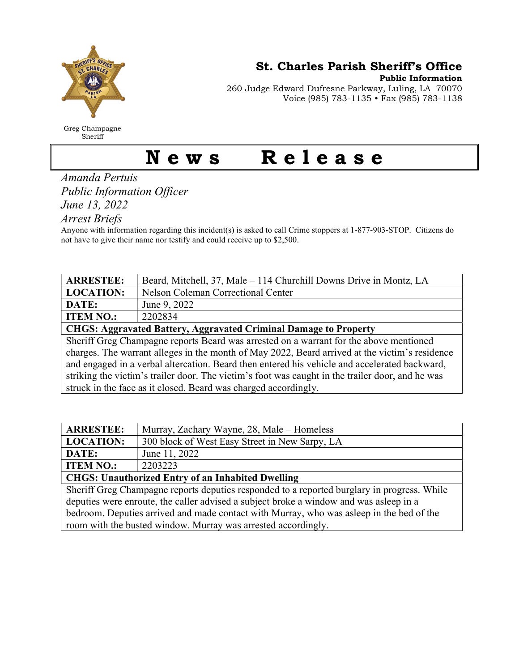

Greg Champagne Sheriff

St. Charles Parish Sheriff's Office

Public Information

260 Judge Edward Dufresne Parkway, Luling, LA 70070 Voice (985) 783-1135 • Fax (985) 783-1138

## News Release

Amanda Pertuis Public Information Officer June 13, 2022

Arrest Briefs

Anyone with information regarding this incident(s) is asked to call Crime stoppers at 1-877-903-STOP. Citizens do not have to give their name nor testify and could receive up to \$2,500.

| <b>ARRESTEE:</b>                                                                                 | Beard, Mitchell, 37, Male - 114 Churchill Downs Drive in Montz, LA |  |
|--------------------------------------------------------------------------------------------------|--------------------------------------------------------------------|--|
| <b>LOCATION:</b>                                                                                 | Nelson Coleman Correctional Center                                 |  |
| DATE:                                                                                            | June 9, 2022                                                       |  |
| <b>ITEM NO.:</b>                                                                                 | 2202834                                                            |  |
| <b>CHGS: Aggravated Battery, Aggravated Criminal Damage to Property</b>                          |                                                                    |  |
| Sheriff Greg Champagne reports Beard was arrested on a warrant for the above mentioned           |                                                                    |  |
| charges. The warrant alleges in the month of May 2022, Beard arrived at the victim's residence   |                                                                    |  |
| and engaged in a verbal altercation. Beard then entered his vehicle and accelerated backward,    |                                                                    |  |
| striking the victim's trailer door. The victim's foot was caught in the trailer door, and he was |                                                                    |  |
| struck in the face as it closed. Beard was charged accordingly.                                  |                                                                    |  |

| <b>ARRESTEE:</b>                                         | Murray, Zachary Wayne, 28, Male – Homeless     |
|----------------------------------------------------------|------------------------------------------------|
| <b>LOCATION:</b>                                         | 300 block of West Easy Street in New Sarpy, LA |
| DATE:                                                    | June 11, 2022                                  |
| <b>ITEM NO.:</b>                                         | 2203223                                        |
| <b>CHGS: Unauthorized Entry of an Inhabited Dwelling</b> |                                                |

Sheriff Greg Champagne reports deputies responded to a reported burglary in progress. While deputies were enroute, the caller advised a subject broke a window and was asleep in a bedroom. Deputies arrived and made contact with Murray, who was asleep in the bed of the room with the busted window. Murray was arrested accordingly.